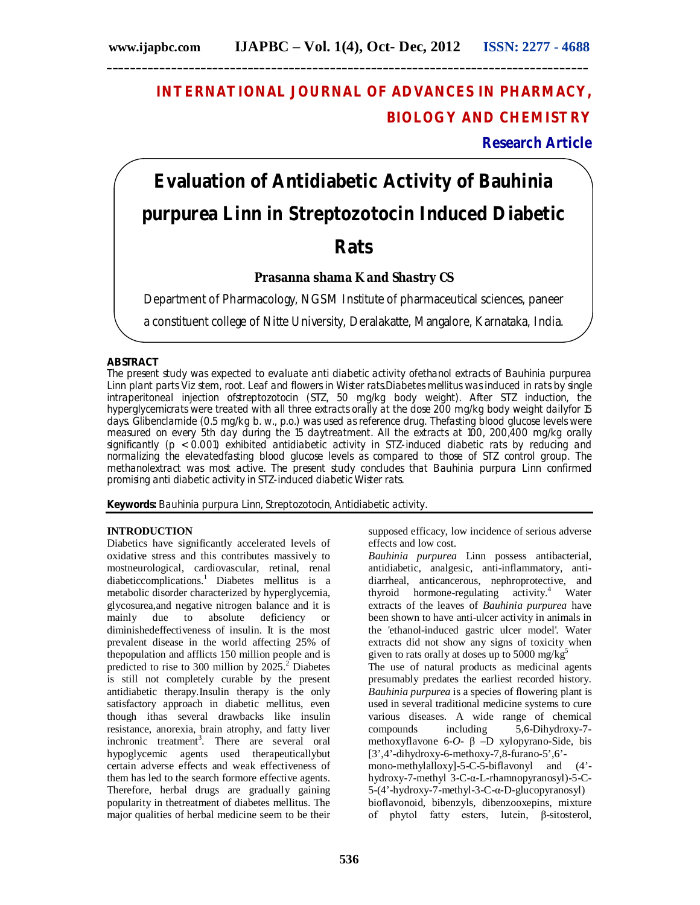# **INTERNATIONAL JOURNAL OF ADVANCES IN PHARMACY, BIOLOGY AND CHEMISTRY**

**Research Article**

# **Evaluation of Antidiabetic Activity of** *Bauhinia purpurea* **Linn in Streptozotocin Induced Diabetic Rats**

# **Prasanna shama K and Shastry CS**

Department of Pharmacology, NGSM Institute of pharmaceutical sciences, paneer

a constituent college of Nitte University, Deralakatte, Mangalore, Karnataka, India.

## **ABSTRACT**

The present study was expected to evaluate anti diabetic activity ofethanol extracts of *Bauhinia purpurea* Linn plant parts Viz stem, root. Leaf and flowers in Wister rats.Diabetes mellitus was induced in rats by single intraperitoneal injection ofstreptozotocin (STZ, 50 mg/kg body weight). After STZ induction, the hyperglycemicrats were treated with all three extracts orally at the dose 200 mg/kg body weight dailyfor 15 days. Glibenclamide (0.5 mg/kg b. w., p.o.) was used as reference drug. Thefasting blood glucose levels were measured on every 5th day during the 15 daytreatment. All the extracts at 100, 200,400 mg/kg orally significantly (p < 0.001) exhibited antidiabetic activity in STZ-induced diabetic rats by reducing and normalizing the elevatedfasting blood glucose levels as compared to those of STZ control group. The methanolextract was most active. The present study concludes that *Bauhinia purpura* Linn confirmed promising anti diabetic activity in STZ-induced diabetic Wister rats.

**Keywords:** *Bauhinia purpura* Linn, Streptozotocin, Antidiabetic activity.

# **INTRODUCTION**

Diabetics have significantly accelerated levels of oxidative stress and this contributes massively to mostneurological, cardiovascular, retinal, renal diabeticcomplications.<sup>1</sup> Diabetes mellitus is a metabolic disorder characterized by hyperglycemia, glycosurea,and negative nitrogen balance and it is mainly due to absolute deficiency or diminishedeffectiveness of insulin. It is the most prevalent disease in the world affecting 25% of thepopulation and afflicts 150 million people and is predicted to rise to 300 million by  $2025.<sup>2</sup>$  Diabetes is still not completely curable by the present antidiabetic therapy.Insulin therapy is the only satisfactory approach in diabetic mellitus, even though ithas several drawbacks like insulin resistance, anorexia, brain atrophy, and fatty liver inchronic treatment<sup>3</sup>. There are several oral hypoglycemic agents used therapeuticallybut certain adverse effects and weak effectiveness of them has led to the search formore effective agents. Therefore, herbal drugs are gradually gaining popularity in thetreatment of diabetes mellitus. The major qualities of herbal medicine seem to be their supposed efficacy, low incidence of serious adverse effects and low cost.

*Bauhinia purpurea* Linn possess antibacterial, antidiabetic, analgesic, anti-inflammatory, antidiarrheal, anticancerous, nephroprotective, and thyroid hormone-regulating activity.<sup>4</sup> Water extracts of the leaves of *Bauhinia purpurea* have been shown to have anti-ulcer activity in animals in the 'ethanol-induced gastric ulcer model'. Water extracts did not show any signs of toxicity when given to rats orally at doses up to 5000 mg/ $kg<sup>5</sup>$ 

The use of natural products as medicinal agents presumably predates the earliest recorded history. *Bauhinia purpurea* is a species of flowering plant is used in several traditional medicine systems to cure various diseases. A wide range of chemical compounds including 5,6-Dihydroxy-7 methoxyflavone 6-*O*- β –D xylopyrano-Side, bis [3',4'-dihydroxy-6-methoxy-7,8-furano-5',6' mono-methylalloxy]-5-C-5-biflavonyl and (4' hydroxy-7-methyl 3-C-α-L-rhamnopyranosyl)-5-C-5-(4'-hydroxy-7-methyl-3-C-α-D-glucopyranosyl) bioflavonoid, bibenzyls, dibenzooxepins, mixture of phytol fatty esters, lutein, β-sitosterol,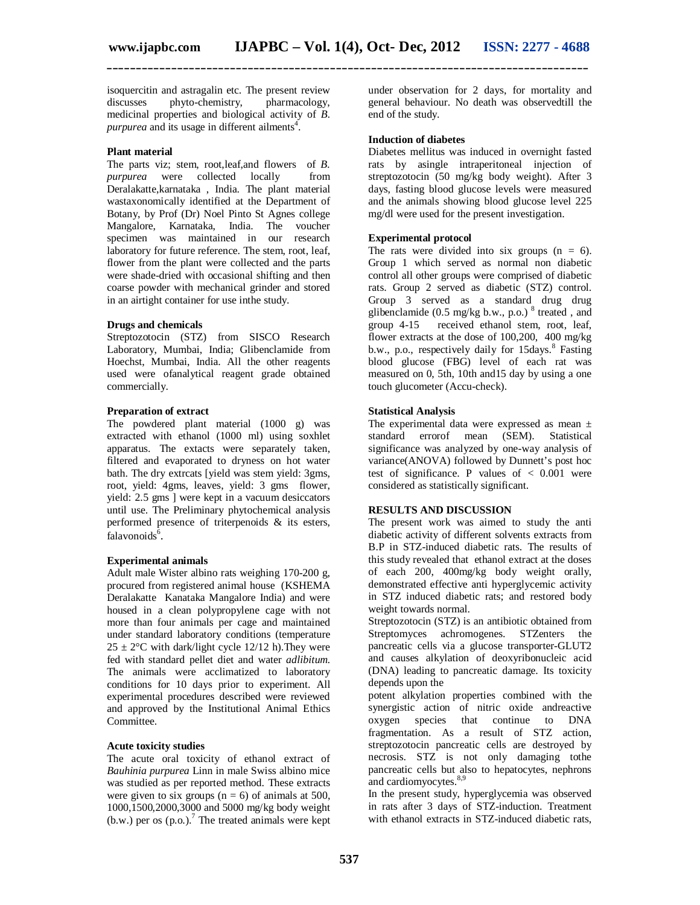isoquercitin and astragalin etc. The present review discusses phyto-chemistry, pharmacology, medicinal properties and biological activity of *B.*  purpurea and its usage in different ailments<sup>4</sup>.

#### **Plant material**

The parts viz; stem, root,leaf,and flowers of *B. purpurea* were collected locally from Deralakatte,karnataka , India. The plant material wastaxonomically identified at the Department of Botany, by Prof (Dr) Noel Pinto St Agnes college Mangalore, Karnataka, India. The voucher specimen was maintained in our research laboratory for future reference. The stem, root, leaf, flower from the plant were collected and the parts were shade-dried with occasional shifting and then coarse powder with mechanical grinder and stored in an airtight container for use inthe study.

#### **Drugs and chemicals**

Streptozotocin (STZ) from SISCO Research Laboratory, Mumbai, India; Glibenclamide from Hoechst, Mumbai, India. All the other reagents used were ofanalytical reagent grade obtained commercially.

#### **Preparation of extract**

The powdered plant material (1000 g) was extracted with ethanol (1000 ml) using soxhlet apparatus. The extacts were separately taken, filtered and evaporated to dryness on hot water bath. The dry extrcats [yield was stem yield: 3gms, root, yield: 4gms, leaves, yield: 3 gms flower, yield: 2.5 gms ] were kept in a vacuum desiccators until use. The Preliminary phytochemical analysis performed presence of triterpenoids & its esters, falavonoids<sup>6</sup>.

#### **Experimental animals**

Adult male Wister albino rats weighing 170-200 g, procured from registered animal house (KSHEMA Deralakatte Kanataka Mangalore India) and were housed in a clean polypropylene cage with not more than four animals per cage and maintained under standard laboratory conditions (temperature  $25 \pm 2$ °C with dark/light cycle 12/12 h). They were fed with standard pellet diet and water *adlibitum.* The animals were acclimatized to laboratory conditions for 10 days prior to experiment. All experimental procedures described were reviewed and approved by the Institutional Animal Ethics Committee.

#### **Acute toxicity studies**

The acute oral toxicity of ethanol extract of *Bauhinia purpurea* Linn in male Swiss albino mice was studied as per reported method. These extracts were given to six groups  $(n = 6)$  of animals at 500, 1000,1500,2000,3000 and 5000 mg/kg body weight  $(b.w.)$  per os  $(p.o.)$ <sup>7</sup> The treated animals were kept under observation for 2 days, for mortality and general behaviour. No death was observedtill the end of the study.

#### **Induction of diabetes**

Diabetes mellitus was induced in overnight fasted rats by asingle intraperitoneal injection of streptozotocin (50 mg/kg body weight). After 3 days, fasting blood glucose levels were measured and the animals showing blood glucose level 225 mg/dl were used for the present investigation.

#### **Experimental protocol**

The rats were divided into six groups  $(n = 6)$ . Group 1 which served as normal non diabetic control all other groups were comprised of diabetic rats. Group 2 served as diabetic (STZ) control. Group 3 served as a standard drug drug glibenclamide (0.5 mg/kg b.w., p.o.)<sup>8</sup> treated, and group 4-15 received ethanol stem, root, leaf, flower extracts at the dose of 100,200, 400 mg/kg b.w., p.o., respectively daily for 15days.<sup>8</sup> Fasting blood glucose (FBG) level of each rat was measured on 0, 5th, 10th and15 day by using a one touch glucometer (Accu-check).

#### **Statistical Analysis**

The experimental data were expressed as mean  $\pm$ standard errorof mean (SEM). Statistical significance was analyzed by one-way analysis of variance(ANOVA) followed by Dunnett's post hoc test of significance. P values of  $\lt$  0.001 were considered as statistically significant.

#### **RESULTS AND DISCUSSION**

The present work was aimed to study the anti diabetic activity of different solvents extracts from B.P in STZ-induced diabetic rats. The results of this study revealed that ethanol extract at the doses of each 200, 400mg/kg body weight orally, demonstrated effective anti hyperglycemic activity in STZ induced diabetic rats; and restored body weight towards normal.

Streptozotocin (STZ) is an antibiotic obtained from Streptomyces achromogenes. STZenters the pancreatic cells via a glucose transporter-GLUT2 and causes alkylation of deoxyribonucleic acid (DNA) leading to pancreatic damage. Its toxicity depends upon the

potent alkylation properties combined with the synergistic action of nitric oxide andreactive oxygen species that continue to DNA fragmentation. As a result of STZ action, streptozotocin pancreatic cells are destroyed by necrosis. STZ is not only damaging tothe pancreatic cells but also to hepatocytes, nephrons and cardiomyocytes.<sup>8,9</sup>

In the present study, hyperglycemia was observed in rats after 3 days of STZ-induction. Treatment with ethanol extracts in STZ-induced diabetic rats,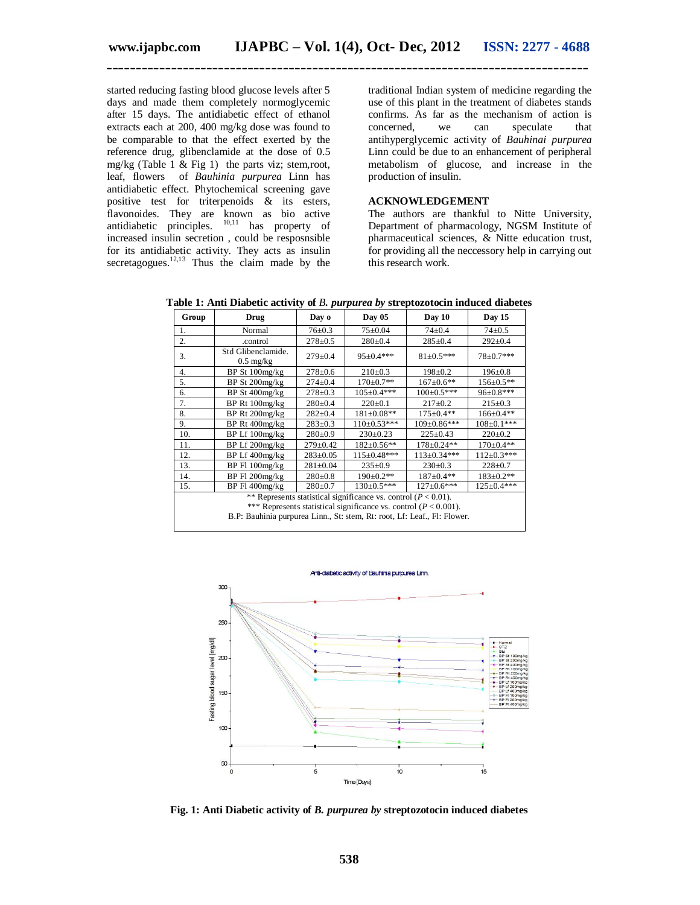started reducing fasting blood glucose levels after 5 days and made them completely normoglycemic after 15 days. The antidiabetic effect of ethanol extracts each at 200, 400 mg/kg dose was found to be comparable to that the effect exerted by the reference drug, glibenclamide at the dose of 0.5 mg/kg (Table 1 & Fig 1) the parts viz; stem,root, leaf, flowers of *Bauhinia purpurea* Linn has antidiabetic effect. Phytochemical screening gave positive test for triterpenoids & its esters, flavonoides. They are known as bio active antidiabetic principles.  $^{10,11}$  has property of  $10,11$  has property of increased insulin secretion , could be resposnsible for its antidiabetic activity. They acts as insulin secretagogues.<sup>12,13</sup> Thus the claim made by the

traditional Indian system of medicine regarding the use of this plant in the treatment of diabetes stands confirms. As far as the mechanism of action is concerned, we can speculate that antihyperglycemic activity of *Bauhinai purpurea*  Linn could be due to an enhancement of peripheral metabolism of glucose, and increase in the production of insulin.

## **ACKNOWLEDGEMENT**

The authors are thankful to Nitte University, Department of pharmacology, NGSM Institute of pharmaceutical sciences, & Nitte education trust, for providing all the neccessory help in carrying out this research work.

| Group                                                                                                                                                                                                                  | Drug                                      | Day o          | Day 05            | Day 10             | Day 15            |
|------------------------------------------------------------------------------------------------------------------------------------------------------------------------------------------------------------------------|-------------------------------------------|----------------|-------------------|--------------------|-------------------|
| 1.                                                                                                                                                                                                                     | Normal                                    | $76 + 0.3$     | $75 \pm 0.04$     | $74 + 0.4$         | $74 \pm 0.5$      |
| 2.                                                                                                                                                                                                                     | .control                                  | $278 \pm 0.5$  | $280 \pm 0.4$     | $285 \pm 0.4$      | $292 \pm 0.4$     |
| 3.                                                                                                                                                                                                                     | Std Glibenclamide.<br>$0.5 \text{ mg/kg}$ | $279 \pm 0.4$  | $95+0.4***$       | $81 \pm 0.5***$    | 78±0.7***         |
| 4.                                                                                                                                                                                                                     | BP St 100mg/kg                            | $278 \pm 0.6$  | $210\pm0.3$       | $198 \pm 0.2$      | $196 \pm 0.8$     |
| 5.                                                                                                                                                                                                                     | BP St 200mg/kg                            | $274 \pm 0.4$  | $170 \pm 0.7**$   | $167 \pm 0.6**$    | $156 \pm 0.5**$   |
| 6.                                                                                                                                                                                                                     | BP St 400mg/kg                            | $278 \pm 0.3$  | $105 \pm 0.4***$  | $100 \pm 0.5***$   | 96±0.8***         |
| 7.                                                                                                                                                                                                                     | BP Rt 100mg/kg                            | $280+0.4$      | $220 \pm 0.1$     | $217 \pm 0.2$      | $215 \pm 0.3$     |
| 8.                                                                                                                                                                                                                     | BP Rt 200mg/kg                            | $282 \pm 0.4$  | $181 \pm 0.08**$  | $175 \pm 0.4**$    | $166 \pm 0.4**$   |
| 9.                                                                                                                                                                                                                     | BP Rt 400mg/kg                            | $283 \pm 0.3$  | $110 \pm 0.53***$ | $109 \pm 0.86$ *** | $108 \pm 0.1***$  |
| 10.                                                                                                                                                                                                                    | BP Lf 100mg/kg                            | $280+0.9$      | $230 \pm 0.23$    | $225 \pm 0.43$     | $220 \pm 0.2$     |
| 11.                                                                                                                                                                                                                    | BP Lf 200mg/kg                            | $279 \pm 0.42$ | $182 \pm 0.56**$  | $178+0.24**$       | $170+0.4**$       |
| 12.                                                                                                                                                                                                                    | BP Lf 400mg/kg                            | $283 \pm 0.05$ | 115±0.48***       | $113 \pm 0.34$ *** | $112 \pm 0.3$ *** |
| 13.                                                                                                                                                                                                                    | BP Fl 100mg/kg                            | $281 \pm 0.04$ | $235 \pm 0.9$     | $230 \pm 0.3$      | $228 \pm 0.7$     |
| 14.                                                                                                                                                                                                                    | BP Fl 200mg/kg                            | $280+0.8$      | $190 \pm 0.2$ **  | $187 \pm 0.4**$    | $183 \pm 0.2**$   |
| 15.                                                                                                                                                                                                                    | BP Fl 400mg/kg                            | $280+0.7$      | $130 \pm 0.5$ *** | $127 \pm 0.6$ ***  | 125±0.4***        |
| ** Represents statistical significance vs. control ( $P < 0.01$ ).<br>*** Represents statistical significance vs. control ( $P < 0.001$ ).<br>B.P: Bauhinia purpurea Linn., St: stem, Rt: root, Lf: Leaf., Fl: Flower. |                                           |                |                   |                    |                   |

**Table 1: Anti Diabetic activity of** *B. purpurea by* **streptozotocin induced diabetes**



**Fig. 1: Anti Diabetic activity of** *B. purpurea by* **streptozotocin induced diabetes**